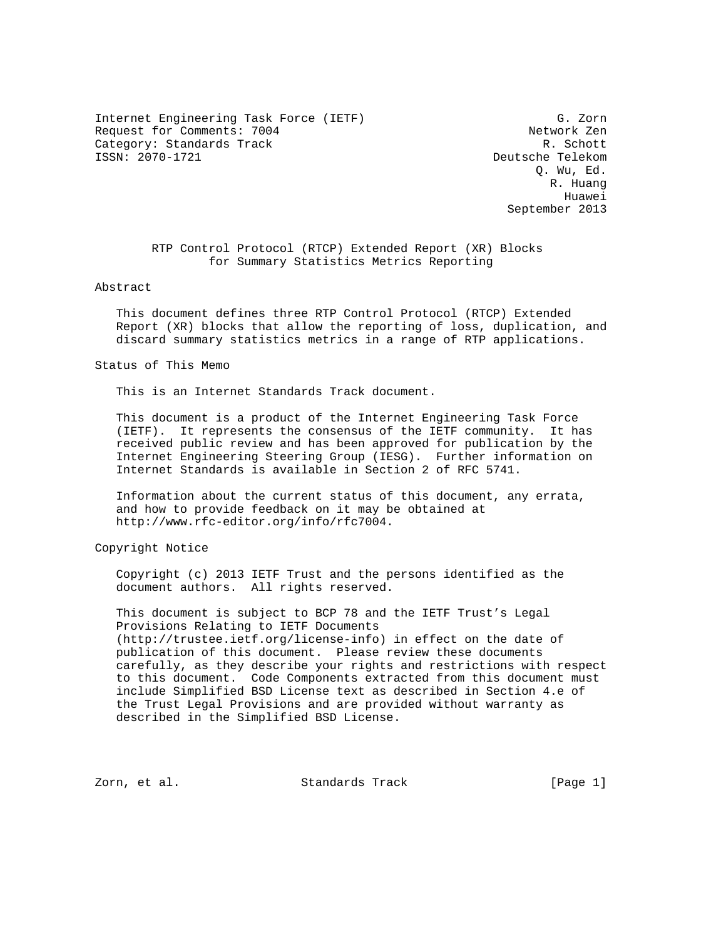Internet Engineering Task Force (IETF) G. Zorn Request for Comments: 7004 Network Zen Category: Standards Track R. Schott<br>
ISSN: 2070-1721 Category: R. Schott

Deutsche Telekom Q. Wu, Ed. R. Huang Huawei September 2013

> RTP Control Protocol (RTCP) Extended Report (XR) Blocks for Summary Statistics Metrics Reporting

### Abstract

 This document defines three RTP Control Protocol (RTCP) Extended Report (XR) blocks that allow the reporting of loss, duplication, and discard summary statistics metrics in a range of RTP applications.

Status of This Memo

This is an Internet Standards Track document.

 This document is a product of the Internet Engineering Task Force (IETF). It represents the consensus of the IETF community. It has received public review and has been approved for publication by the Internet Engineering Steering Group (IESG). Further information on Internet Standards is available in Section 2 of RFC 5741.

 Information about the current status of this document, any errata, and how to provide feedback on it may be obtained at http://www.rfc-editor.org/info/rfc7004.

Copyright Notice

 Copyright (c) 2013 IETF Trust and the persons identified as the document authors. All rights reserved.

 This document is subject to BCP 78 and the IETF Trust's Legal Provisions Relating to IETF Documents (http://trustee.ietf.org/license-info) in effect on the date of publication of this document. Please review these documents carefully, as they describe your rights and restrictions with respect to this document. Code Components extracted from this document must include Simplified BSD License text as described in Section 4.e of the Trust Legal Provisions and are provided without warranty as described in the Simplified BSD License.

Zorn, et al. Standards Track [Page 1]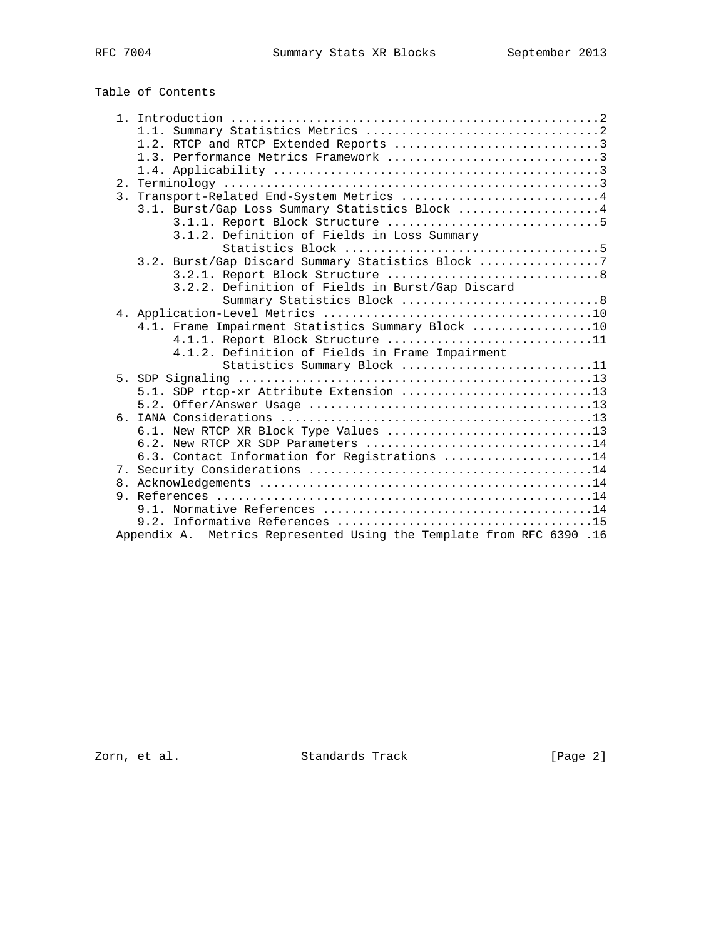# Table of Contents

|  | 1.2. RTCP and RTCP Extended Reports 3                                |
|--|----------------------------------------------------------------------|
|  |                                                                      |
|  |                                                                      |
|  |                                                                      |
|  | 3. Transport-Related End-System Metrics 4                            |
|  | 3.1. Burst/Gap Loss Summary Statistics Block 4                       |
|  |                                                                      |
|  | 3.1.2. Definition of Fields in Loss Summary                          |
|  |                                                                      |
|  | 3.2. Burst/Gap Discard Summary Statistics Block 7                    |
|  |                                                                      |
|  | 3.2.2. Definition of Fields in Burst/Gap Discard                     |
|  |                                                                      |
|  |                                                                      |
|  | 4.1. Frame Impairment Statistics Summary Block 10                    |
|  | 4.1.1. Report Block Structure 11                                     |
|  | 4.1.2. Definition of Fields in Frame Impairment                      |
|  | Statistics Summary Block 11                                          |
|  |                                                                      |
|  | 5.1. SDP rtcp-xr Attribute Extension 13                              |
|  |                                                                      |
|  |                                                                      |
|  | 6.1. New RTCP XR Block Type Values 13                                |
|  | 6.2. New RTCP XR SDP Parameters 14                                   |
|  | 6.3. Contact Information for Registrations 14                        |
|  |                                                                      |
|  |                                                                      |
|  |                                                                      |
|  |                                                                      |
|  |                                                                      |
|  | Appendix A. Metrics Represented Using the Template from RFC 6390 .16 |

Zorn, et al. Standards Track [Page 2]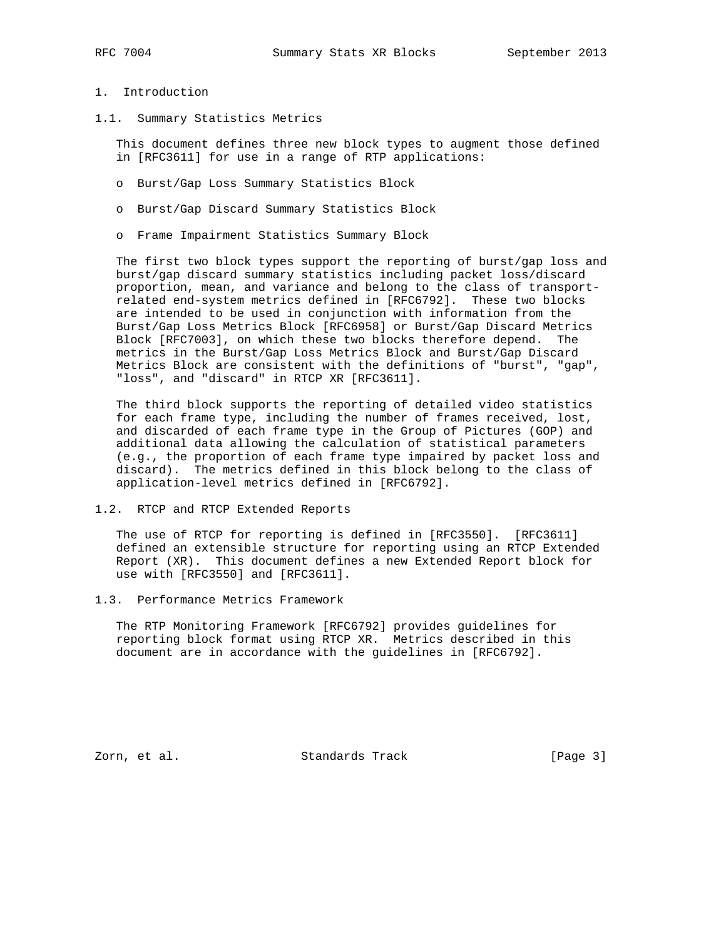# 1. Introduction

1.1. Summary Statistics Metrics

 This document defines three new block types to augment those defined in [RFC3611] for use in a range of RTP applications:

- o Burst/Gap Loss Summary Statistics Block
- o Burst/Gap Discard Summary Statistics Block
- o Frame Impairment Statistics Summary Block

 The first two block types support the reporting of burst/gap loss and burst/gap discard summary statistics including packet loss/discard proportion, mean, and variance and belong to the class of transport related end-system metrics defined in [RFC6792]. These two blocks are intended to be used in conjunction with information from the Burst/Gap Loss Metrics Block [RFC6958] or Burst/Gap Discard Metrics Block [RFC7003], on which these two blocks therefore depend. The metrics in the Burst/Gap Loss Metrics Block and Burst/Gap Discard Metrics Block are consistent with the definitions of "burst", "gap", "loss", and "discard" in RTCP XR [RFC3611].

 The third block supports the reporting of detailed video statistics for each frame type, including the number of frames received, lost, and discarded of each frame type in the Group of Pictures (GOP) and additional data allowing the calculation of statistical parameters (e.g., the proportion of each frame type impaired by packet loss and discard). The metrics defined in this block belong to the class of application-level metrics defined in [RFC6792].

1.2. RTCP and RTCP Extended Reports

 The use of RTCP for reporting is defined in [RFC3550]. [RFC3611] defined an extensible structure for reporting using an RTCP Extended Report (XR). This document defines a new Extended Report block for use with [RFC3550] and [RFC3611].

### 1.3. Performance Metrics Framework

 The RTP Monitoring Framework [RFC6792] provides guidelines for reporting block format using RTCP XR. Metrics described in this document are in accordance with the guidelines in [RFC6792].

Zorn, et al. Standards Track [Page 3]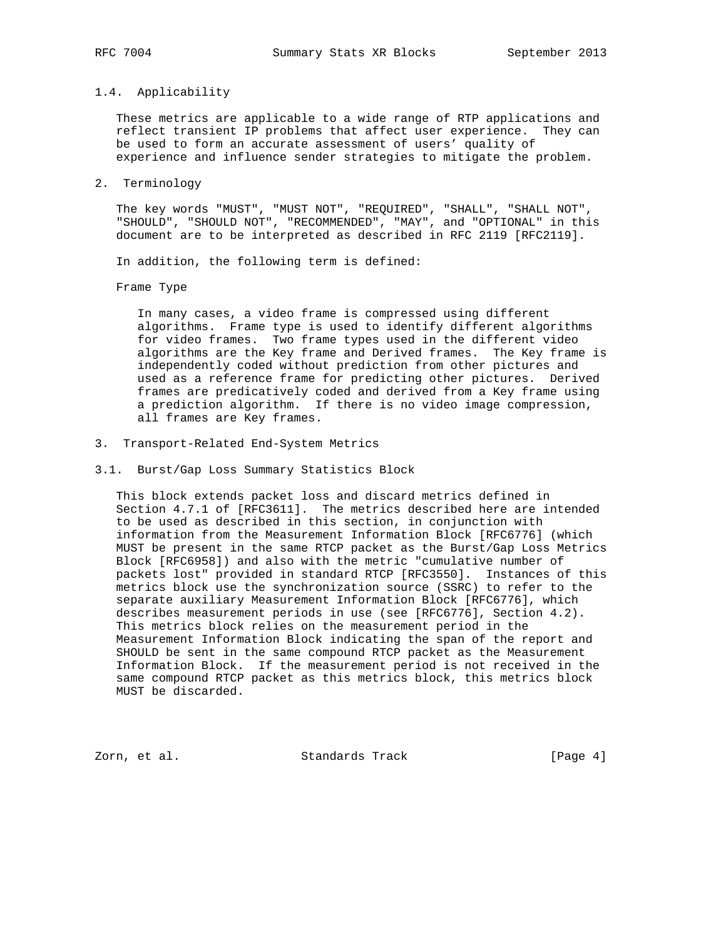### 1.4. Applicability

 These metrics are applicable to a wide range of RTP applications and reflect transient IP problems that affect user experience. They can be used to form an accurate assessment of users' quality of experience and influence sender strategies to mitigate the problem.

2. Terminology

 The key words "MUST", "MUST NOT", "REQUIRED", "SHALL", "SHALL NOT", "SHOULD", "SHOULD NOT", "RECOMMENDED", "MAY", and "OPTIONAL" in this document are to be interpreted as described in RFC 2119 [RFC2119].

In addition, the following term is defined:

Frame Type

 In many cases, a video frame is compressed using different algorithms. Frame type is used to identify different algorithms for video frames. Two frame types used in the different video algorithms are the Key frame and Derived frames. The Key frame is independently coded without prediction from other pictures and used as a reference frame for predicting other pictures. Derived frames are predicatively coded and derived from a Key frame using a prediction algorithm. If there is no video image compression, all frames are Key frames.

- 3. Transport-Related End-System Metrics
- 3.1. Burst/Gap Loss Summary Statistics Block

 This block extends packet loss and discard metrics defined in Section 4.7.1 of [RFC3611]. The metrics described here are intended to be used as described in this section, in conjunction with information from the Measurement Information Block [RFC6776] (which MUST be present in the same RTCP packet as the Burst/Gap Loss Metrics Block [RFC6958]) and also with the metric "cumulative number of packets lost" provided in standard RTCP [RFC3550]. Instances of this metrics block use the synchronization source (SSRC) to refer to the separate auxiliary Measurement Information Block [RFC6776], which describes measurement periods in use (see [RFC6776], Section 4.2). This metrics block relies on the measurement period in the Measurement Information Block indicating the span of the report and SHOULD be sent in the same compound RTCP packet as the Measurement Information Block. If the measurement period is not received in the same compound RTCP packet as this metrics block, this metrics block MUST be discarded.

Zorn, et al. Standards Track [Page 4]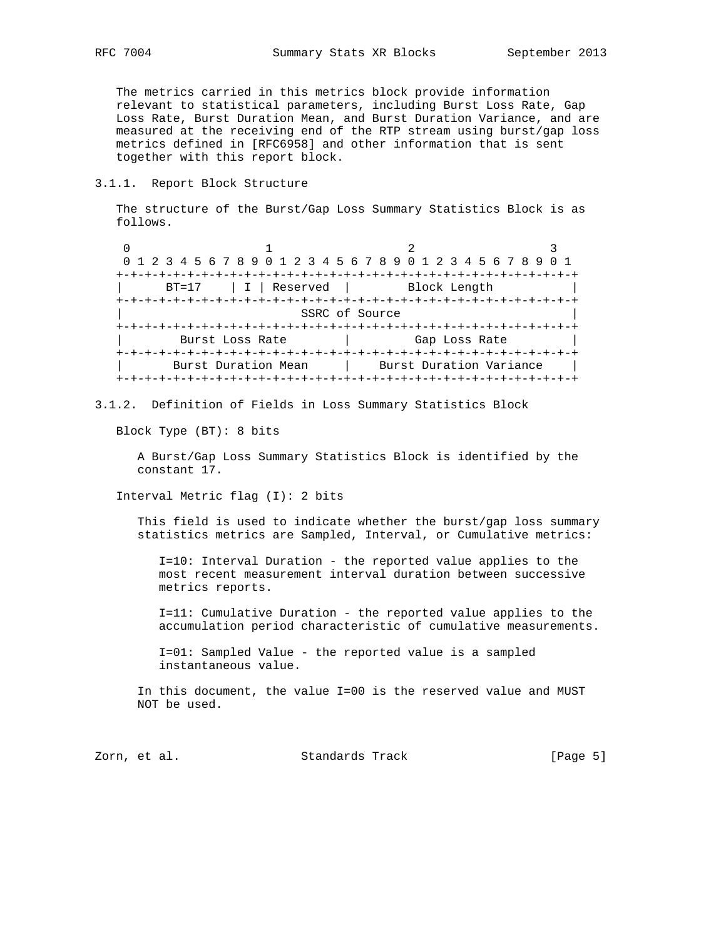The metrics carried in this metrics block provide information relevant to statistical parameters, including Burst Loss Rate, Gap Loss Rate, Burst Duration Mean, and Burst Duration Variance, and are measured at the receiving end of the RTP stream using burst/gap loss metrics defined in [RFC6958] and other information that is sent together with this report block.

3.1.1. Report Block Structure

 The structure of the Burst/Gap Loss Summary Statistics Block is as follows.

0  $1$  2 3 0 1 2 3 4 5 6 7 8 9 0 1 2 3 4 5 6 7 8 9 0 1 2 3 4 5 6 7 8 9 0 1 +-+-+-+-+-+-+-+-+-+-+-+-+-+-+-+-+-+-+-+-+-+-+-+-+-+-+-+-+-+-+-+-+ BT=17 | I | Reserved | Block Length +-+-+-+-+-+-+-+-+-+-+-+-+-+-+-+-+-+-+-+-+-+-+-+-+-+-+-+-+-+-+-+-+ SSRC of Source +-+-+-+-+-+-+-+-+-+-+-+-+-+-+-+-+-+-+-+-+-+-+-+-+-+-+-+-+-+-+-+-+ Burst Loss Rate | Gap Loss Rate +-+-+-+-+-+-+-+-+-+-+-+-+-+-+-+-+-+-+-+-+-+-+-+-+-+-+-+-+-+-+-+-+ | Burst Duration Mean | Burst Duration Variance | +-+-+-+-+-+-+-+-+-+-+-+-+-+-+-+-+-+-+-+-+-+-+-+-+-+-+-+-+-+-+-+-+

3.1.2. Definition of Fields in Loss Summary Statistics Block

Block Type (BT): 8 bits

 A Burst/Gap Loss Summary Statistics Block is identified by the constant 17.

Interval Metric flag (I): 2 bits

 This field is used to indicate whether the burst/gap loss summary statistics metrics are Sampled, Interval, or Cumulative metrics:

 I=10: Interval Duration - the reported value applies to the most recent measurement interval duration between successive metrics reports.

 I=11: Cumulative Duration - the reported value applies to the accumulation period characteristic of cumulative measurements.

 I=01: Sampled Value - the reported value is a sampled instantaneous value.

 In this document, the value I=00 is the reserved value and MUST NOT be used.

Zorn, et al. Standards Track [Page 5]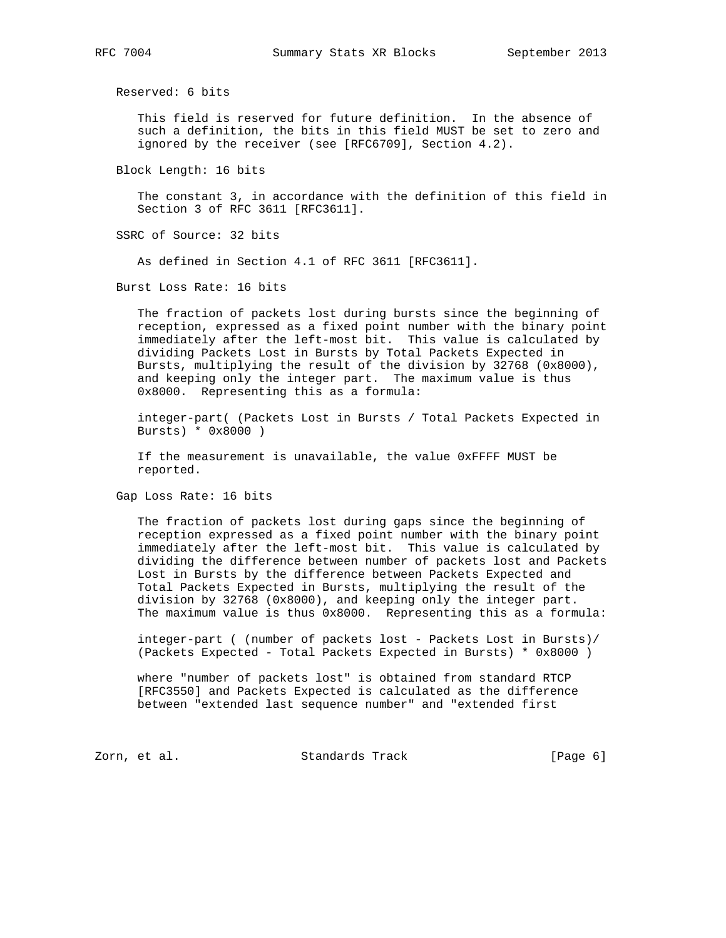Reserved: 6 bits

 This field is reserved for future definition. In the absence of such a definition, the bits in this field MUST be set to zero and ignored by the receiver (see [RFC6709], Section 4.2).

Block Length: 16 bits

 The constant 3, in accordance with the definition of this field in Section 3 of RFC 3611 [RFC3611].

SSRC of Source: 32 bits

As defined in Section 4.1 of RFC 3611 [RFC3611].

Burst Loss Rate: 16 bits

 The fraction of packets lost during bursts since the beginning of reception, expressed as a fixed point number with the binary point immediately after the left-most bit. This value is calculated by dividing Packets Lost in Bursts by Total Packets Expected in Bursts, multiplying the result of the division by 32768 (0x8000), and keeping only the integer part. The maximum value is thus 0x8000. Representing this as a formula:

 integer-part( (Packets Lost in Bursts / Total Packets Expected in Bursts) \* 0x8000 )

 If the measurement is unavailable, the value 0xFFFF MUST be reported.

Gap Loss Rate: 16 bits

 The fraction of packets lost during gaps since the beginning of reception expressed as a fixed point number with the binary point immediately after the left-most bit. This value is calculated by dividing the difference between number of packets lost and Packets Lost in Bursts by the difference between Packets Expected and Total Packets Expected in Bursts, multiplying the result of the division by 32768 (0x8000), and keeping only the integer part. The maximum value is thus 0x8000. Representing this as a formula:

 integer-part ( (number of packets lost - Packets Lost in Bursts)/ (Packets Expected - Total Packets Expected in Bursts) \* 0x8000 )

 where "number of packets lost" is obtained from standard RTCP [RFC3550] and Packets Expected is calculated as the difference between "extended last sequence number" and "extended first

Zorn, et al. Standards Track [Page 6]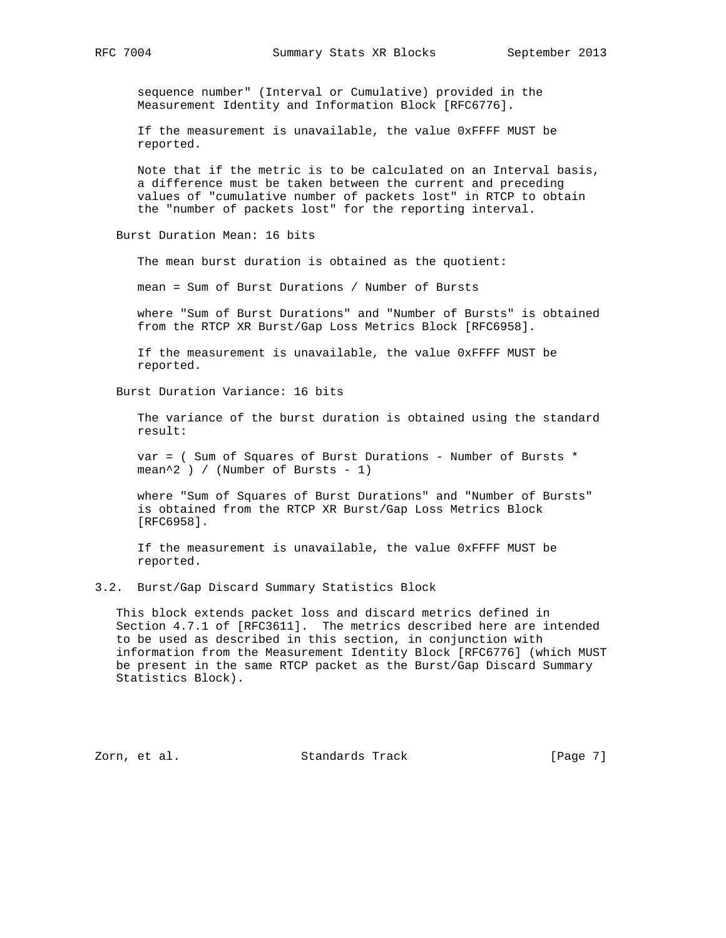sequence number" (Interval or Cumulative) provided in the Measurement Identity and Information Block [RFC6776].

 If the measurement is unavailable, the value 0xFFFF MUST be reported.

 Note that if the metric is to be calculated on an Interval basis, a difference must be taken between the current and preceding values of "cumulative number of packets lost" in RTCP to obtain the "number of packets lost" for the reporting interval.

Burst Duration Mean: 16 bits

The mean burst duration is obtained as the quotient:

mean = Sum of Burst Durations / Number of Bursts

 where "Sum of Burst Durations" and "Number of Bursts" is obtained from the RTCP XR Burst/Gap Loss Metrics Block [RFC6958].

 If the measurement is unavailable, the value 0xFFFF MUST be reported.

Burst Duration Variance: 16 bits

 The variance of the burst duration is obtained using the standard result:

 var = ( Sum of Squares of Burst Durations - Number of Bursts \* mean^2 ) / (Number of Bursts - 1)

 where "Sum of Squares of Burst Durations" and "Number of Bursts" is obtained from the RTCP XR Burst/Gap Loss Metrics Block [RFC6958].

 If the measurement is unavailable, the value 0xFFFF MUST be reported.

3.2. Burst/Gap Discard Summary Statistics Block

 This block extends packet loss and discard metrics defined in Section 4.7.1 of [RFC3611]. The metrics described here are intended to be used as described in this section, in conjunction with information from the Measurement Identity Block [RFC6776] (which MUST be present in the same RTCP packet as the Burst/Gap Discard Summary Statistics Block).

Zorn, et al. Standards Track [Page 7]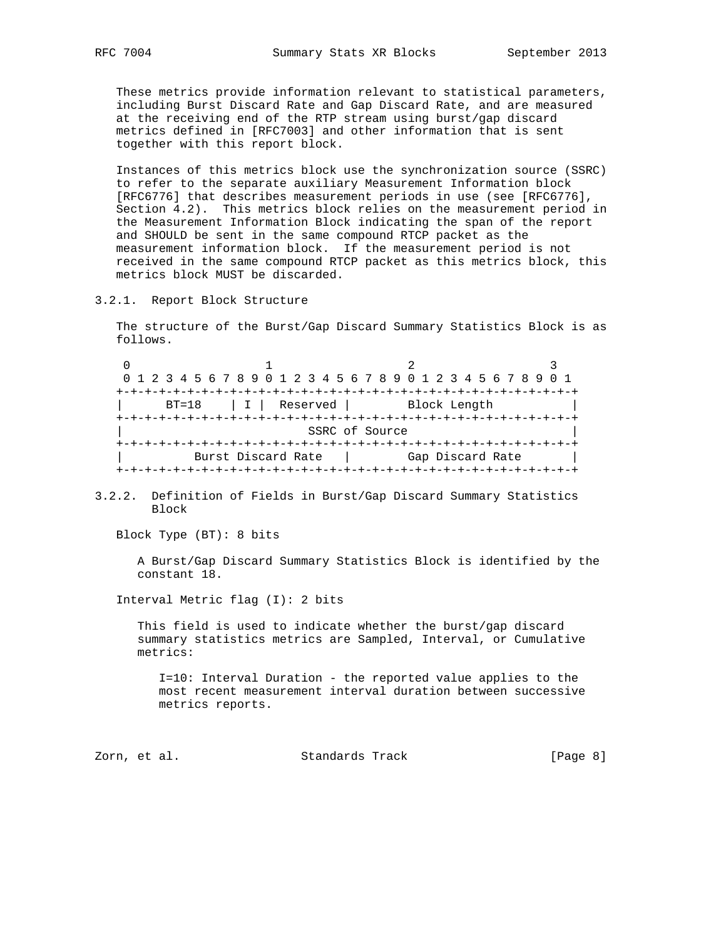These metrics provide information relevant to statistical parameters, including Burst Discard Rate and Gap Discard Rate, and are measured at the receiving end of the RTP stream using burst/gap discard metrics defined in [RFC7003] and other information that is sent together with this report block.

 Instances of this metrics block use the synchronization source (SSRC) to refer to the separate auxiliary Measurement Information block [RFC6776] that describes measurement periods in use (see [RFC6776], Section 4.2). This metrics block relies on the measurement period in the Measurement Information Block indicating the span of the report and SHOULD be sent in the same compound RTCP packet as the measurement information block. If the measurement period is not received in the same compound RTCP packet as this metrics block, this metrics block MUST be discarded.

3.2.1. Report Block Structure

 The structure of the Burst/Gap Discard Summary Statistics Block is as follows.

0  $1$  2 3 0 1 2 3 4 5 6 7 8 9 0 1 2 3 4 5 6 7 8 9 0 1 2 3 4 5 6 7 8 9 0 1 +-+-+-+-+-+-+-+-+-+-+-+-+-+-+-+-+-+-+-+-+-+-+-+-+-+-+-+-+-+-+-+-+ | BT=18 | I | Reserved | Block Length | +-+-+-+-+-+-+-+-+-+-+-+-+-+-+-+-+-+-+-+-+-+-+-+-+-+-+-+-+-+-+-+-+ SSRC of Source +-+-+-+-+-+-+-+-+-+-+-+-+-+-+-+-+-+-+-+-+-+-+-+-+-+-+-+-+-+-+-+-+ Burst Discard Rate | Gap Discard Rate | +-+-+-+-+-+-+-+-+-+-+-+-+-+-+-+-+-+-+-+-+-+-+-+-+-+-+-+-+-+-+-+-+

3.2.2. Definition of Fields in Burst/Gap Discard Summary Statistics Block

Block Type (BT): 8 bits

 A Burst/Gap Discard Summary Statistics Block is identified by the constant 18.

Interval Metric flag (I): 2 bits

 This field is used to indicate whether the burst/gap discard summary statistics metrics are Sampled, Interval, or Cumulative metrics:

 I=10: Interval Duration - the reported value applies to the most recent measurement interval duration between successive metrics reports.

Zorn, et al. Standards Track [Page 8]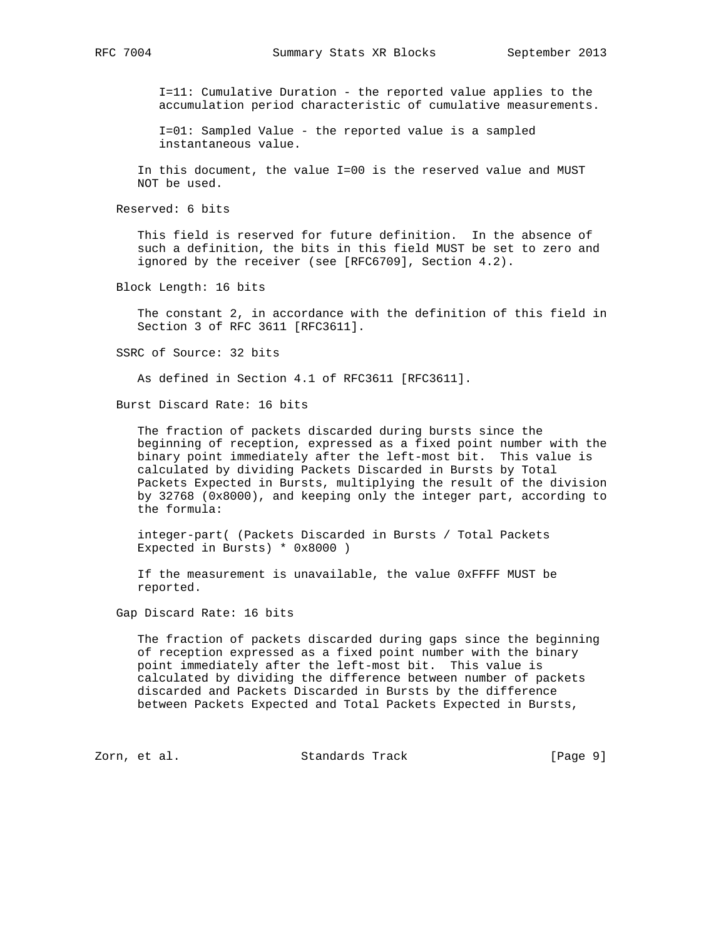I=11: Cumulative Duration - the reported value applies to the accumulation period characteristic of cumulative measurements.

 I=01: Sampled Value - the reported value is a sampled instantaneous value.

 In this document, the value I=00 is the reserved value and MUST NOT be used.

Reserved: 6 bits

 This field is reserved for future definition. In the absence of such a definition, the bits in this field MUST be set to zero and ignored by the receiver (see [RFC6709], Section 4.2).

Block Length: 16 bits

 The constant 2, in accordance with the definition of this field in Section 3 of RFC 3611 [RFC3611].

SSRC of Source: 32 bits

As defined in Section 4.1 of RFC3611 [RFC3611].

Burst Discard Rate: 16 bits

 The fraction of packets discarded during bursts since the beginning of reception, expressed as a fixed point number with the binary point immediately after the left-most bit. This value is calculated by dividing Packets Discarded in Bursts by Total Packets Expected in Bursts, multiplying the result of the division by 32768 (0x8000), and keeping only the integer part, according to the formula:

 integer-part( (Packets Discarded in Bursts / Total Packets Expected in Bursts) \* 0x8000 )

 If the measurement is unavailable, the value 0xFFFF MUST be reported.

Gap Discard Rate: 16 bits

 The fraction of packets discarded during gaps since the beginning of reception expressed as a fixed point number with the binary point immediately after the left-most bit. This value is calculated by dividing the difference between number of packets discarded and Packets Discarded in Bursts by the difference between Packets Expected and Total Packets Expected in Bursts,

Zorn, et al. Standards Track [Page 9]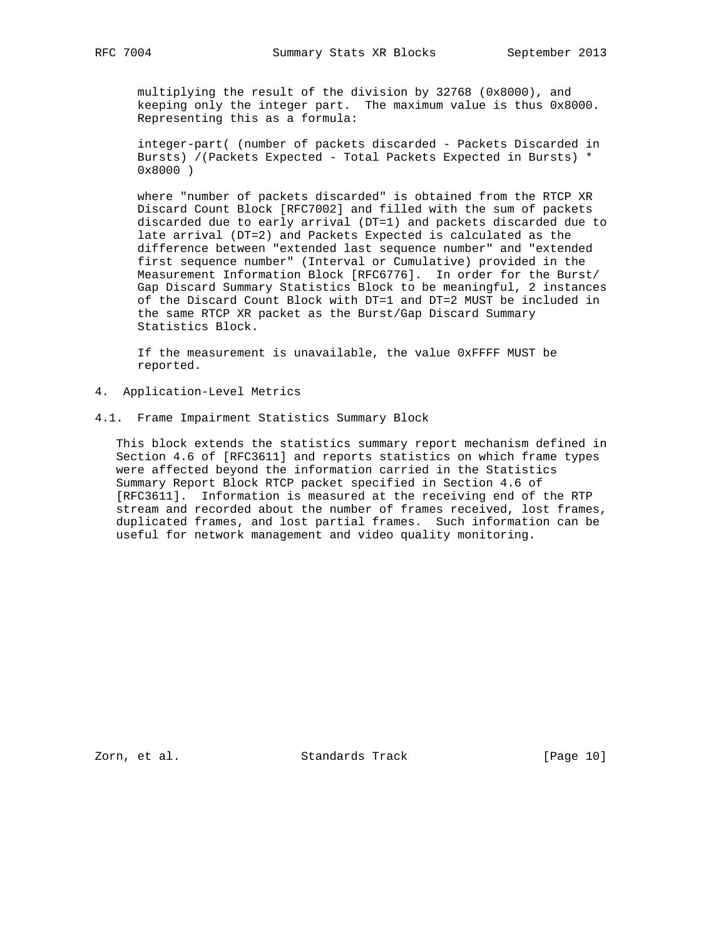multiplying the result of the division by 32768 (0x8000), and keeping only the integer part. The maximum value is thus 0x8000. Representing this as a formula:

 integer-part( (number of packets discarded - Packets Discarded in Bursts) /(Packets Expected - Total Packets Expected in Bursts) \* 0x8000 )

 where "number of packets discarded" is obtained from the RTCP XR Discard Count Block [RFC7002] and filled with the sum of packets discarded due to early arrival (DT=1) and packets discarded due to late arrival (DT=2) and Packets Expected is calculated as the difference between "extended last sequence number" and "extended first sequence number" (Interval or Cumulative) provided in the Measurement Information Block [RFC6776]. In order for the Burst/ Gap Discard Summary Statistics Block to be meaningful, 2 instances of the Discard Count Block with DT=1 and DT=2 MUST be included in the same RTCP XR packet as the Burst/Gap Discard Summary Statistics Block.

 If the measurement is unavailable, the value 0xFFFF MUST be reported.

- 4. Application-Level Metrics
- 4.1. Frame Impairment Statistics Summary Block

 This block extends the statistics summary report mechanism defined in Section 4.6 of [RFC3611] and reports statistics on which frame types were affected beyond the information carried in the Statistics Summary Report Block RTCP packet specified in Section 4.6 of [RFC3611]. Information is measured at the receiving end of the RTP stream and recorded about the number of frames received, lost frames, duplicated frames, and lost partial frames. Such information can be useful for network management and video quality monitoring.

Zorn, et al. Standards Track [Page 10]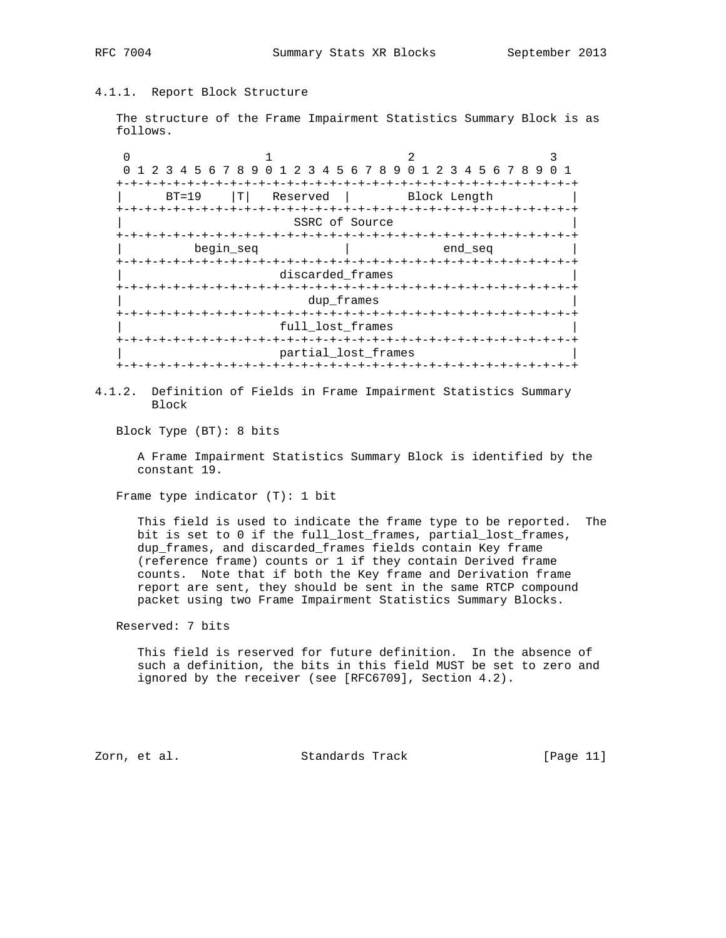# 4.1.1. Report Block Structure

 The structure of the Frame Impairment Statistics Summary Block is as follows.

0  $1$  2 3 0 1 2 3 4 5 6 7 8 9 0 1 2 3 4 5 6 7 8 9 0 1 2 3 4 5 6 7 8 9 0 1 +-+-+-+-+-+-+-+-+-+-+-+-+-+-+-+-+-+-+-+-+-+-+-+-+-+-+-+-+-+-+-+-+ BT=19 |T| Reserved | Block Length +-+-+-+-+-+-+-+-+-+-+-+-+-+-+-+-+-+-+-+-+-+-+-+-+-+-+-+-+-+-+-+-+ SSRC of Source +-+-+-+-+-+-+-+-+-+-+-+-+-+-+-+-+-+-+-+-+-+-+-+-+-+-+-+-+-+-+-+-+  $begin$  begin\_seq  $\hskip 4cm \vert$  end\_seq +-+-+-+-+-+-+-+-+-+-+-+-+-+-+-+-+-+-+-+-+-+-+-+-+-+-+-+-+-+-+-+-+ discarded\_frames +-+-+-+-+-+-+-+-+-+-+-+-+-+-+-+-+-+-+-+-+-+-+-+-+-+-+-+-+-+-+-+-+ | dup\_frames | +-+-+-+-+-+-+-+-+-+-+-+-+-+-+-+-+-+-+-+-+-+-+-+-+-+-+-+-+-+-+-+-+ | full\_lost\_frames | +-+-+-+-+-+-+-+-+-+-+-+-+-+-+-+-+-+-+-+-+-+-+-+-+-+-+-+-+-+-+-+-+ partial\_lost\_frames +-+-+-+-+-+-+-+-+-+-+-+-+-+-+-+-+-+-+-+-+-+-+-+-+-+-+-+-+-+-+-+-+

4.1.2. Definition of Fields in Frame Impairment Statistics Summary Block

Block Type (BT): 8 bits

 A Frame Impairment Statistics Summary Block is identified by the constant 19.

Frame type indicator (T): 1 bit

 This field is used to indicate the frame type to be reported. The bit is set to 0 if the full\_lost\_frames, partial\_lost\_frames, dup\_frames, and discarded\_frames fields contain Key frame (reference frame) counts or 1 if they contain Derived frame counts. Note that if both the Key frame and Derivation frame report are sent, they should be sent in the same RTCP compound packet using two Frame Impairment Statistics Summary Blocks.

Reserved: 7 bits

 This field is reserved for future definition. In the absence of such a definition, the bits in this field MUST be set to zero and ignored by the receiver (see [RFC6709], Section 4.2).

Zorn, et al. Standards Track [Page 11]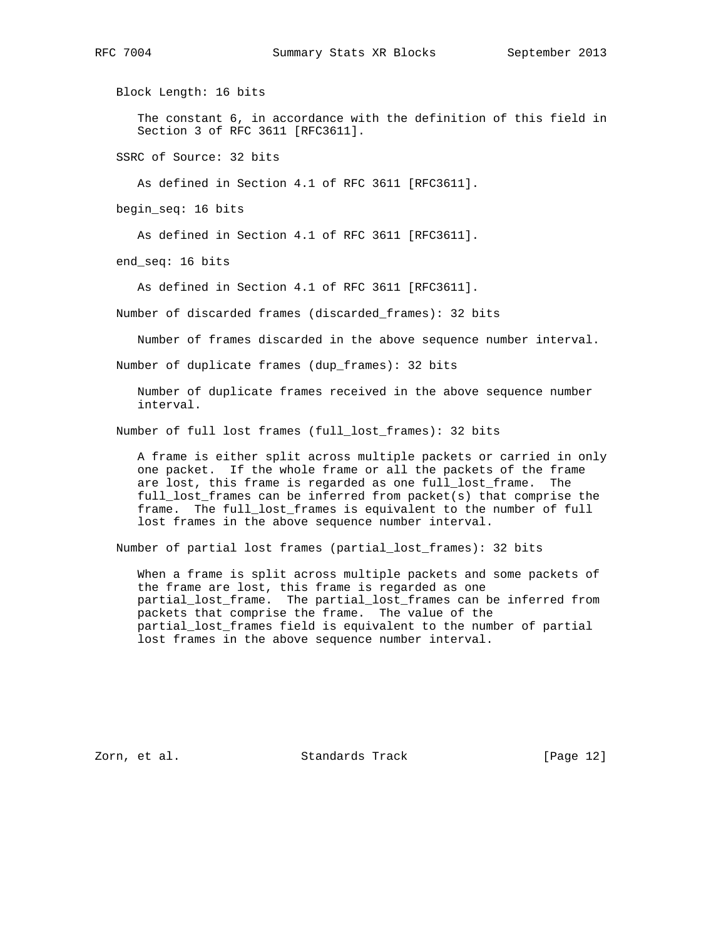Block Length: 16 bits

 The constant 6, in accordance with the definition of this field in Section 3 of RFC 3611 [RFC3611].

SSRC of Source: 32 bits

As defined in Section 4.1 of RFC 3611 [RFC3611].

begin\_seq: 16 bits

As defined in Section 4.1 of RFC 3611 [RFC3611].

end\_seq: 16 bits

As defined in Section 4.1 of RFC 3611 [RFC3611].

Number of discarded frames (discarded\_frames): 32 bits

Number of frames discarded in the above sequence number interval.

Number of duplicate frames (dup\_frames): 32 bits

 Number of duplicate frames received in the above sequence number interval.

Number of full lost frames (full\_lost\_frames): 32 bits

 A frame is either split across multiple packets or carried in only one packet. If the whole frame or all the packets of the frame are lost, this frame is regarded as one full\_lost\_frame. The full\_lost\_frames can be inferred from packet(s) that comprise the frame. The full\_lost\_frames is equivalent to the number of full lost frames in the above sequence number interval.

Number of partial lost frames (partial\_lost\_frames): 32 bits

 When a frame is split across multiple packets and some packets of the frame are lost, this frame is regarded as one partial\_lost\_frame. The partial\_lost\_frames can be inferred from packets that comprise the frame. The value of the partial\_lost\_frames field is equivalent to the number of partial lost frames in the above sequence number interval.

Zorn, et al. Standards Track [Page 12]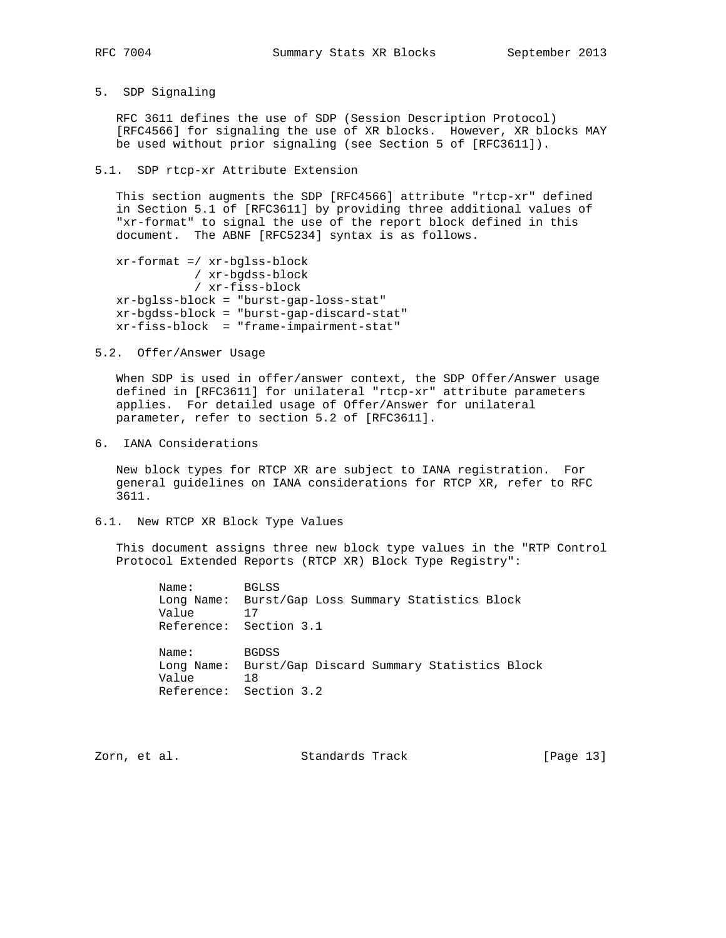- 
- 5. SDP Signaling

 RFC 3611 defines the use of SDP (Session Description Protocol) [RFC4566] for signaling the use of XR blocks. However, XR blocks MAY be used without prior signaling (see Section 5 of [RFC3611]).

5.1. SDP rtcp-xr Attribute Extension

 This section augments the SDP [RFC4566] attribute "rtcp-xr" defined in Section 5.1 of [RFC3611] by providing three additional values of "xr-format" to signal the use of the report block defined in this document. The ABNF [RFC5234] syntax is as follows.

 xr-format =/ xr-bglss-block / xr-bgdss-block / xr-fiss-block xr-bglss-block = "burst-gap-loss-stat" xr-bgdss-block = "burst-gap-discard-stat" xr-fiss-block = "frame-impairment-stat"

5.2. Offer/Answer Usage

 When SDP is used in offer/answer context, the SDP Offer/Answer usage defined in [RFC3611] for unilateral "rtcp-xr" attribute parameters applies. For detailed usage of Offer/Answer for unilateral parameter, refer to section 5.2 of [RFC3611].

6. IANA Considerations

 New block types for RTCP XR are subject to IANA registration. For general guidelines on IANA considerations for RTCP XR, refer to RFC 3611.

6.1. New RTCP XR Block Type Values

 This document assigns three new block type values in the "RTP Control Protocol Extended Reports (RTCP XR) Block Type Registry":

 Name: BGLSS Long Name: Burst/Gap Loss Summary Statistics Block Value Reference: Section 3.1 Name: BGDSS Long Name: Burst/Gap Discard Summary Statistics Block Value 18 Reference: Section 3.2

Zorn, et al. Standards Track [Page 13]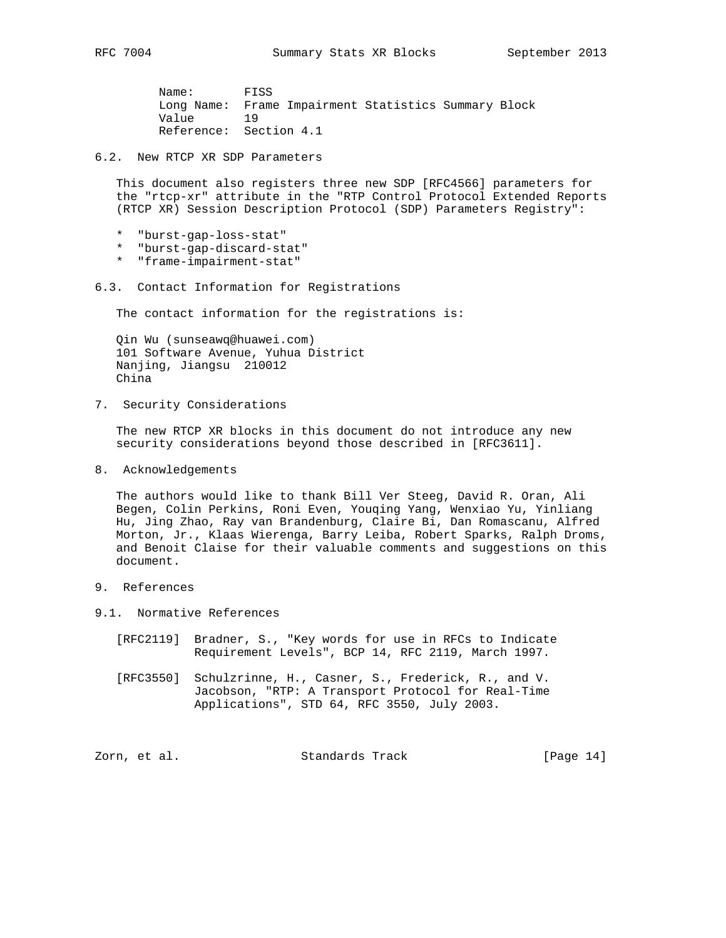Name: FISS Long Name: Frame Impairment Statistics Summary Block Value 19 Reference: Section 4.1

6.2. New RTCP XR SDP Parameters

 This document also registers three new SDP [RFC4566] parameters for the "rtcp-xr" attribute in the "RTP Control Protocol Extended Reports (RTCP XR) Session Description Protocol (SDP) Parameters Registry":

- \* "burst-gap-loss-stat"
- \* "burst-gap-discard-stat"
- \* "frame-impairment-stat"
- 6.3. Contact Information for Registrations

The contact information for the registrations is:

 Qin Wu (sunseawq@huawei.com) 101 Software Avenue, Yuhua District Nanjing, Jiangsu 210012 China

7. Security Considerations

 The new RTCP XR blocks in this document do not introduce any new security considerations beyond those described in [RFC3611].

8. Acknowledgements

 The authors would like to thank Bill Ver Steeg, David R. Oran, Ali Begen, Colin Perkins, Roni Even, Youqing Yang, Wenxiao Yu, Yinliang Hu, Jing Zhao, Ray van Brandenburg, Claire Bi, Dan Romascanu, Alfred Morton, Jr., Klaas Wierenga, Barry Leiba, Robert Sparks, Ralph Droms, and Benoit Claise for their valuable comments and suggestions on this document.

- 9. References
- 9.1. Normative References
	- [RFC2119] Bradner, S., "Key words for use in RFCs to Indicate Requirement Levels", BCP 14, RFC 2119, March 1997.
	- [RFC3550] Schulzrinne, H., Casner, S., Frederick, R., and V. Jacobson, "RTP: A Transport Protocol for Real-Time Applications", STD 64, RFC 3550, July 2003.

Zorn, et al. Standards Track [Page 14]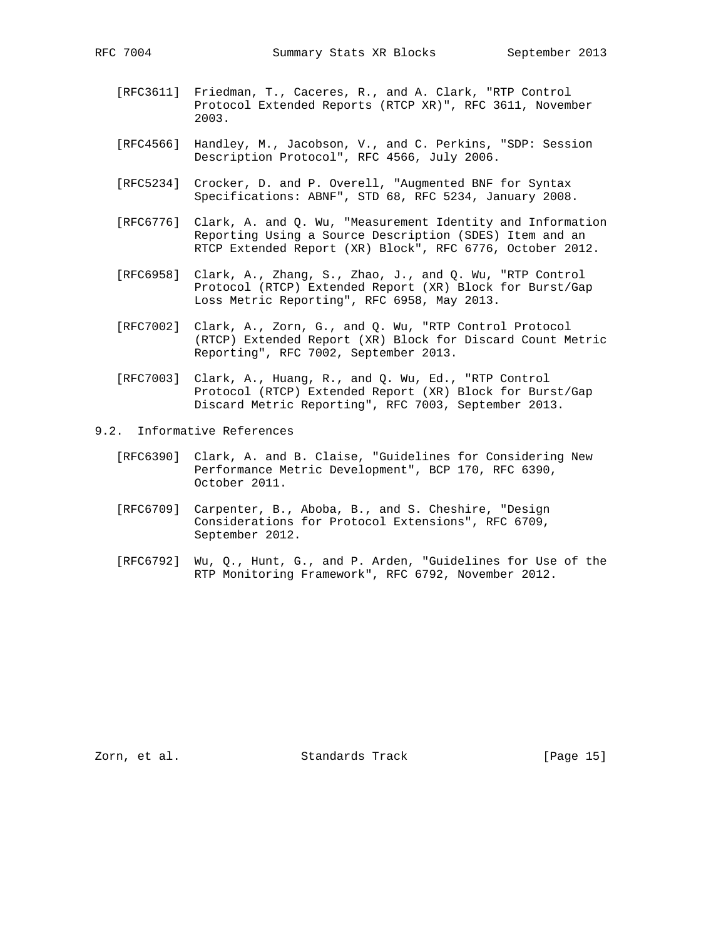- [RFC3611] Friedman, T., Caceres, R., and A. Clark, "RTP Control Protocol Extended Reports (RTCP XR)", RFC 3611, November 2003.
- [RFC4566] Handley, M., Jacobson, V., and C. Perkins, "SDP: Session Description Protocol", RFC 4566, July 2006.
- [RFC5234] Crocker, D. and P. Overell, "Augmented BNF for Syntax Specifications: ABNF", STD 68, RFC 5234, January 2008.
- [RFC6776] Clark, A. and Q. Wu, "Measurement Identity and Information Reporting Using a Source Description (SDES) Item and an RTCP Extended Report (XR) Block", RFC 6776, October 2012.
- [RFC6958] Clark, A., Zhang, S., Zhao, J., and Q. Wu, "RTP Control Protocol (RTCP) Extended Report (XR) Block for Burst/Gap Loss Metric Reporting", RFC 6958, May 2013.
- [RFC7002] Clark, A., Zorn, G., and Q. Wu, "RTP Control Protocol (RTCP) Extended Report (XR) Block for Discard Count Metric Reporting", RFC 7002, September 2013.
- [RFC7003] Clark, A., Huang, R., and Q. Wu, Ed., "RTP Control Protocol (RTCP) Extended Report (XR) Block for Burst/Gap Discard Metric Reporting", RFC 7003, September 2013.
- 9.2. Informative References
	- [RFC6390] Clark, A. and B. Claise, "Guidelines for Considering New Performance Metric Development", BCP 170, RFC 6390, October 2011.
	- [RFC6709] Carpenter, B., Aboba, B., and S. Cheshire, "Design Considerations for Protocol Extensions", RFC 6709, September 2012.
	- [RFC6792] Wu, Q., Hunt, G., and P. Arden, "Guidelines for Use of the RTP Monitoring Framework", RFC 6792, November 2012.

Zorn, et al. Standards Track [Page 15]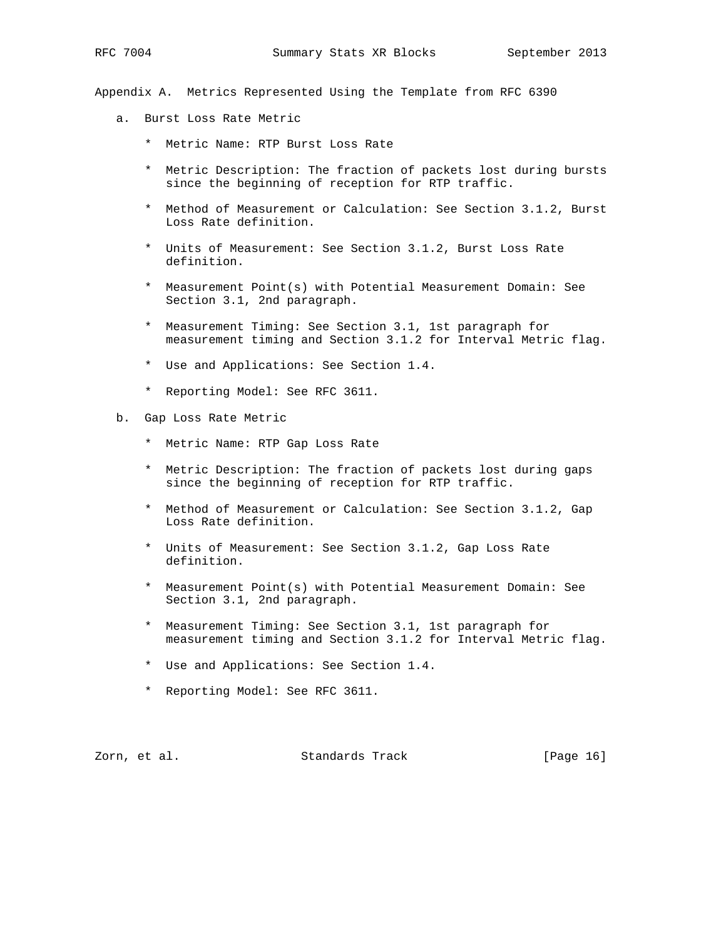Appendix A. Metrics Represented Using the Template from RFC 6390

- a. Burst Loss Rate Metric
	- \* Metric Name: RTP Burst Loss Rate
	- \* Metric Description: The fraction of packets lost during bursts since the beginning of reception for RTP traffic.
	- \* Method of Measurement or Calculation: See Section 3.1.2, Burst Loss Rate definition.
	- \* Units of Measurement: See Section 3.1.2, Burst Loss Rate definition.
	- \* Measurement Point(s) with Potential Measurement Domain: See Section 3.1, 2nd paragraph.
	- \* Measurement Timing: See Section 3.1, 1st paragraph for measurement timing and Section 3.1.2 for Interval Metric flag.
	- \* Use and Applications: See Section 1.4.
	- \* Reporting Model: See RFC 3611.
- b. Gap Loss Rate Metric
	- \* Metric Name: RTP Gap Loss Rate
	- \* Metric Description: The fraction of packets lost during gaps since the beginning of reception for RTP traffic.
	- \* Method of Measurement or Calculation: See Section 3.1.2, Gap Loss Rate definition.
	- \* Units of Measurement: See Section 3.1.2, Gap Loss Rate definition.
	- \* Measurement Point(s) with Potential Measurement Domain: See Section 3.1, 2nd paragraph.
	- \* Measurement Timing: See Section 3.1, 1st paragraph for measurement timing and Section 3.1.2 for Interval Metric flag.
	- \* Use and Applications: See Section 1.4.
	- \* Reporting Model: See RFC 3611.

Zorn, et al. Standards Track [Page 16]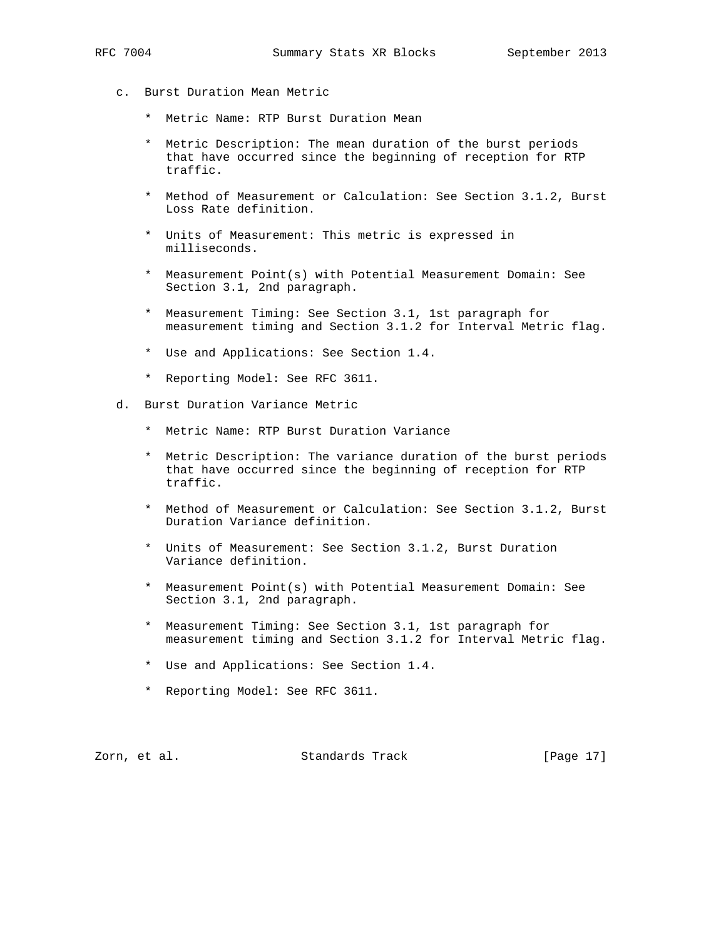c. Burst Duration Mean Metric

- \* Metric Name: RTP Burst Duration Mean
- \* Metric Description: The mean duration of the burst periods that have occurred since the beginning of reception for RTP traffic.
- \* Method of Measurement or Calculation: See Section 3.1.2, Burst Loss Rate definition.
- \* Units of Measurement: This metric is expressed in milliseconds.
- \* Measurement Point(s) with Potential Measurement Domain: See Section 3.1, 2nd paragraph.
- \* Measurement Timing: See Section 3.1, 1st paragraph for measurement timing and Section 3.1.2 for Interval Metric flag.
- \* Use and Applications: See Section 1.4.
- \* Reporting Model: See RFC 3611.
- d. Burst Duration Variance Metric
	- \* Metric Name: RTP Burst Duration Variance
	- \* Metric Description: The variance duration of the burst periods that have occurred since the beginning of reception for RTP traffic.
	- \* Method of Measurement or Calculation: See Section 3.1.2, Burst Duration Variance definition.
	- \* Units of Measurement: See Section 3.1.2, Burst Duration Variance definition.
	- \* Measurement Point(s) with Potential Measurement Domain: See Section 3.1, 2nd paragraph.
	- \* Measurement Timing: See Section 3.1, 1st paragraph for measurement timing and Section 3.1.2 for Interval Metric flag.
	- \* Use and Applications: See Section 1.4.
	- \* Reporting Model: See RFC 3611.

Zorn, et al. Standards Track [Page 17]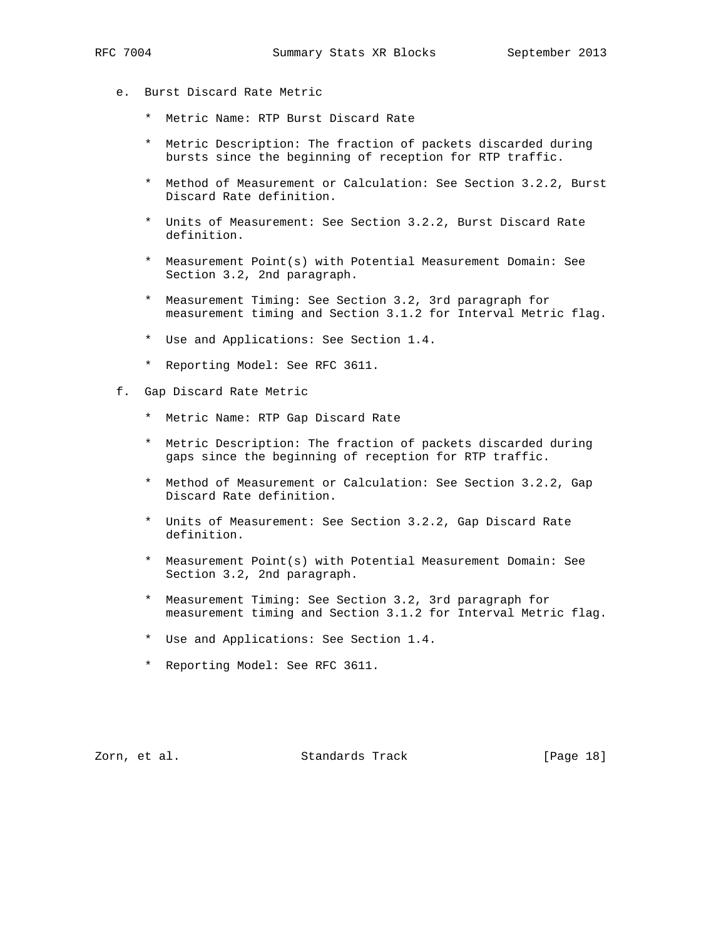- - e. Burst Discard Rate Metric
		- \* Metric Name: RTP Burst Discard Rate
		- \* Metric Description: The fraction of packets discarded during bursts since the beginning of reception for RTP traffic.
		- \* Method of Measurement or Calculation: See Section 3.2.2, Burst Discard Rate definition.
		- \* Units of Measurement: See Section 3.2.2, Burst Discard Rate definition.
		- \* Measurement Point(s) with Potential Measurement Domain: See Section 3.2, 2nd paragraph.
		- \* Measurement Timing: See Section 3.2, 3rd paragraph for measurement timing and Section 3.1.2 for Interval Metric flag.
		- \* Use and Applications: See Section 1.4.
		- \* Reporting Model: See RFC 3611.
	- f. Gap Discard Rate Metric
		- \* Metric Name: RTP Gap Discard Rate
		- \* Metric Description: The fraction of packets discarded during gaps since the beginning of reception for RTP traffic.
		- \* Method of Measurement or Calculation: See Section 3.2.2, Gap Discard Rate definition.
		- \* Units of Measurement: See Section 3.2.2, Gap Discard Rate definition.
		- \* Measurement Point(s) with Potential Measurement Domain: See Section 3.2, 2nd paragraph.
		- \* Measurement Timing: See Section 3.2, 3rd paragraph for measurement timing and Section 3.1.2 for Interval Metric flag.
		- \* Use and Applications: See Section 1.4.
		- \* Reporting Model: See RFC 3611.

Zorn, et al. Standards Track [Page 18]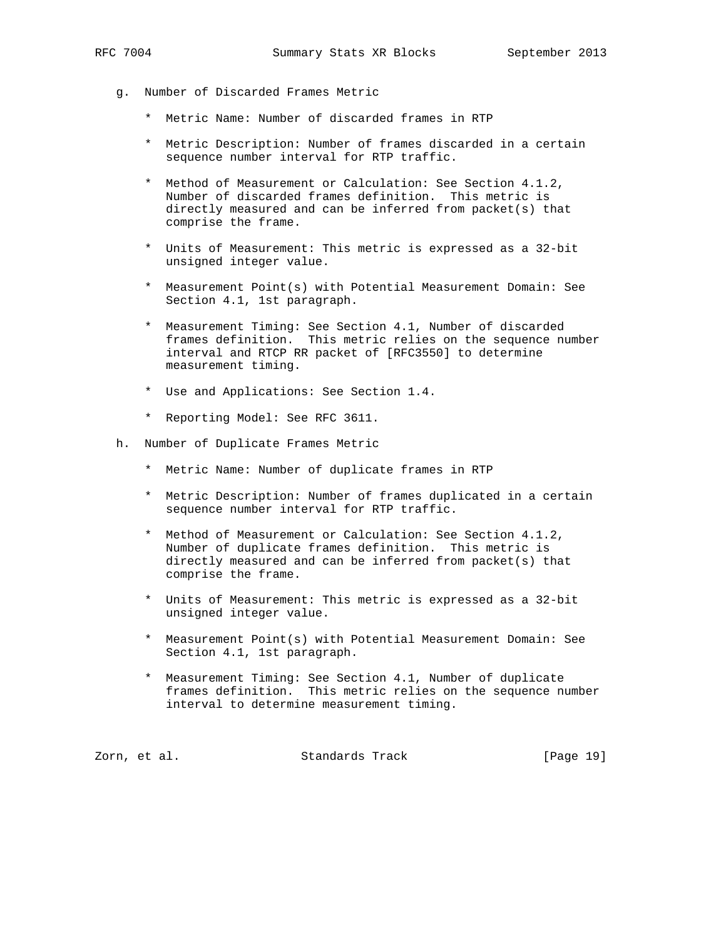- - g. Number of Discarded Frames Metric
		- \* Metric Name: Number of discarded frames in RTP
		- \* Metric Description: Number of frames discarded in a certain sequence number interval for RTP traffic.
		- \* Method of Measurement or Calculation: See Section 4.1.2, Number of discarded frames definition. This metric is directly measured and can be inferred from packet(s) that comprise the frame.
		- \* Units of Measurement: This metric is expressed as a 32-bit unsigned integer value.
		- \* Measurement Point(s) with Potential Measurement Domain: See Section 4.1, 1st paragraph.
		- \* Measurement Timing: See Section 4.1, Number of discarded frames definition. This metric relies on the sequence number interval and RTCP RR packet of [RFC3550] to determine measurement timing.
		- \* Use and Applications: See Section 1.4.
		- \* Reporting Model: See RFC 3611.
	- h. Number of Duplicate Frames Metric
		- \* Metric Name: Number of duplicate frames in RTP
		- \* Metric Description: Number of frames duplicated in a certain sequence number interval for RTP traffic.
		- \* Method of Measurement or Calculation: See Section 4.1.2, Number of duplicate frames definition. This metric is directly measured and can be inferred from packet(s) that comprise the frame.
		- \* Units of Measurement: This metric is expressed as a 32-bit unsigned integer value.
		- \* Measurement Point(s) with Potential Measurement Domain: See Section 4.1, 1st paragraph.
		- \* Measurement Timing: See Section 4.1, Number of duplicate frames definition. This metric relies on the sequence number interval to determine measurement timing.

zorn, et al. Standards Track [Page 19]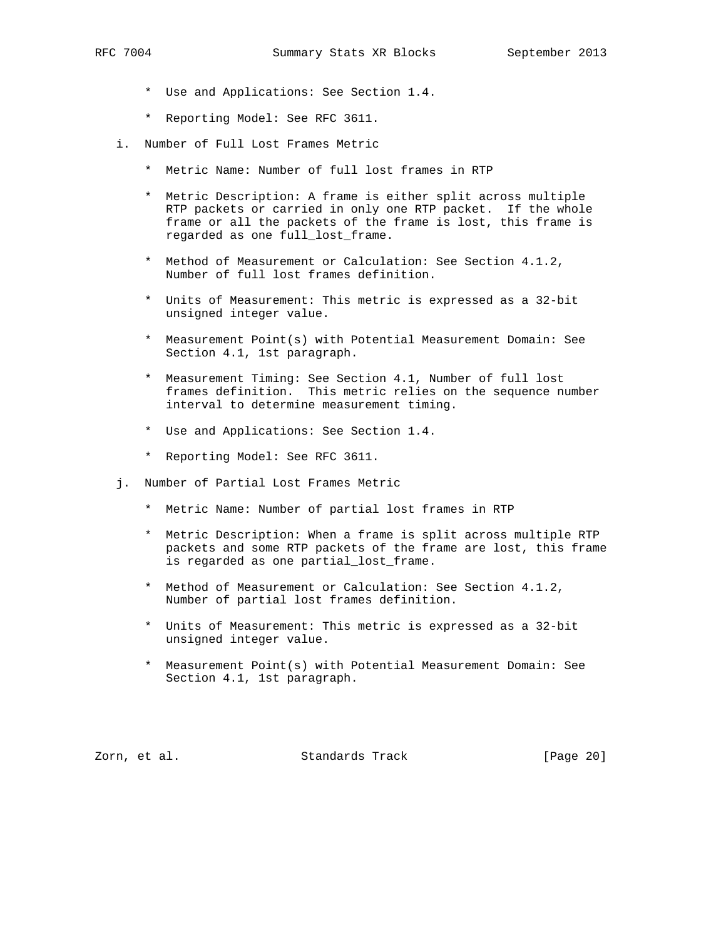- - \* Use and Applications: See Section 1.4.
	- \* Reporting Model: See RFC 3611.
	- i. Number of Full Lost Frames Metric
		- \* Metric Name: Number of full lost frames in RTP
		- \* Metric Description: A frame is either split across multiple RTP packets or carried in only one RTP packet. If the whole frame or all the packets of the frame is lost, this frame is regarded as one full\_lost\_frame.
		- \* Method of Measurement or Calculation: See Section 4.1.2, Number of full lost frames definition.
		- \* Units of Measurement: This metric is expressed as a 32-bit unsigned integer value.
		- \* Measurement Point(s) with Potential Measurement Domain: See Section 4.1, 1st paragraph.
		- \* Measurement Timing: See Section 4.1, Number of full lost frames definition. This metric relies on the sequence number interval to determine measurement timing.
		- \* Use and Applications: See Section 1.4.
		- \* Reporting Model: See RFC 3611.
	- j. Number of Partial Lost Frames Metric
		- \* Metric Name: Number of partial lost frames in RTP
		- \* Metric Description: When a frame is split across multiple RTP packets and some RTP packets of the frame are lost, this frame is regarded as one partial\_lost\_frame.
		- \* Method of Measurement or Calculation: See Section 4.1.2, Number of partial lost frames definition.
		- \* Units of Measurement: This metric is expressed as a 32-bit unsigned integer value.
		- \* Measurement Point(s) with Potential Measurement Domain: See Section 4.1, 1st paragraph.

Zorn, et al. Standards Track [Page 20]